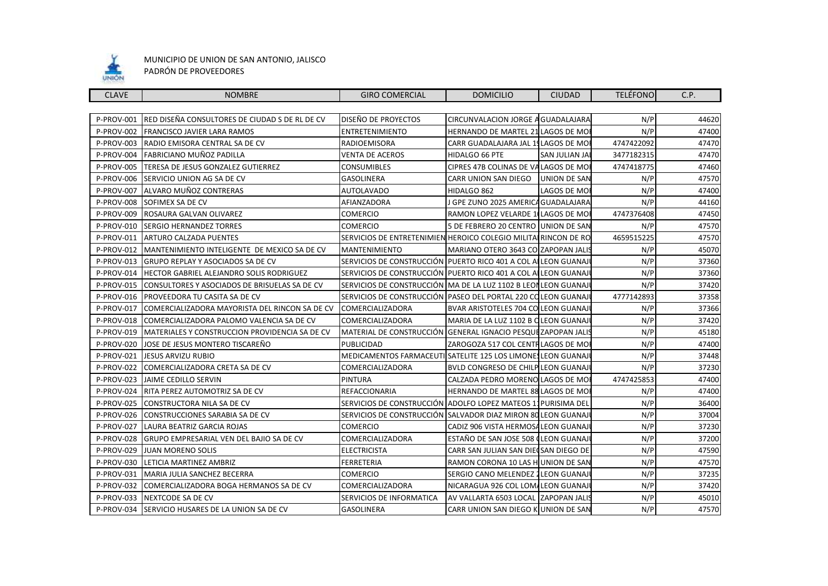

#### MUNICIPIO DE UNION DE SAN ANTONIO, JALISCO PADRÓN DE PROVEEDORES

| <b>CLAVE</b> | <b>NOMBRE</b>                                  | <b>GIRO COMERCIAL</b>                                           | <b>DOMICILIO</b>                          | <b>CIUDAD</b> | <b>TELÉFONO</b> | C.P.  |
|--------------|------------------------------------------------|-----------------------------------------------------------------|-------------------------------------------|---------------|-----------------|-------|
|              |                                                |                                                                 |                                           |               |                 |       |
| P-PROV-001   | RED DISEÑA CONSULTORES DE CIUDAD S DE RL DE CV | DISEÑO DE PROYECTOS                                             | CIRCUNVALACION JORGE A GUADALAJARA        |               | N/P             | 44620 |
| P-PROV-002   | FRANCISCO JAVIER LARA RAMOS                    | <b>ENTRETENIMIENTO</b>                                          | HERNANDO DE MARTEL 21 LAGOS DE MOI        |               | N/P             | 47400 |
| P-PROV-003   | RADIO EMISORA CENTRAL SA DE CV                 | <b>RADIOEMISORA</b>                                             | CARR GUADALAJARA JAL 15 LAGOS DE MOI      |               | 4747422092      | 47470 |
| P-PROV-004   | FABRICIANO MUÑOZ PADILLA                       | VENTA DE ACEROS                                                 | <b>HIDALGO 66 PTE</b>                     | SAN JULIAN JA | 3477182315      | 47470 |
| P-PROV-005   | TERESA DE JESUS GONZALEZ GUTIERREZ             | <b>CONSUMIBLES</b>                                              | CIPRES 47B COLINAS DE VALAGOS DE MO       |               | 4747418775      | 47460 |
| P-PROV-006   | SERVICIO UNION AG SA DE CV                     | <b>GASOLINERA</b>                                               | <b>CARR UNION SAN DIEGO</b>               | UNION DE SAN  | N/P             | 47570 |
| P-PROV-007   | ALVARO MUÑOZ CONTRERAS                         | <b>AUTOLAVADO</b>                                               | HIDALGO 862                               | LAGOS DE MO   | N/P             | 47400 |
| P-PROV-008   | SOFIMEX SA DE CV                               | AFIANZADORA                                                     | I GPE ZUNO 2025 AMERICA GUADALAJARA       |               | N/P             | 44160 |
| P-PROV-009   | ROSAURA GALVAN OLIVAREZ                        | <b>COMERCIO</b>                                                 | RAMON LOPEZ VELARDE 1 LAGOS DE MOI        |               | 4747376408      | 47450 |
| P-PROV-010   | <b>SERGIO HERNANDEZ TORRES</b>                 | <b>COMERCIO</b>                                                 | 5 DE FEBRERO 20 CENTRO UNION DE SAN       |               | N/P             | 47570 |
| P-PROV-011   | <b>ARTURO CALZADA PUENTES</b>                  | SERVICIOS DE ENTRETENIMIEN HEROICO COLEGIO MILITAL RINCON DE RO |                                           |               | 4659515225      | 47570 |
| P-PROV-012   | MANTENIMIENTO INTELIGENTE DE MEXICO SA DE CV   | <b>MANTENIMIENTO</b>                                            | MARIANO OTERO 3643 CO ZAPOPAN JALI!       |               | N/P             | 45070 |
| P-PROV-013   | <b>GRUPO REPLAY Y ASOCIADOS SA DE CV</b>       | SERVICIOS DE CONSTRUCCIÓN PUERTO RICO 401 A COL ALLEON GUANAJ   |                                           |               | N/P             | 37360 |
| P-PROV-014   | HECTOR GABRIEL ALEJANDRO SOLIS RODRIGUEZ       | SERVICIOS DE CONSTRUCCIÓN PUERTO RICO 401 A COL ALLEON GUANAJ   |                                           |               | N/P             | 37360 |
| P-PROV-015   | CONSULTORES Y ASOCIADOS DE BRISUELAS SA DE CV  | SERVICIOS DE CONSTRUCCIÓN MA DE LA LUZ 1102 B LEON LEON GUANAJ  |                                           |               | N/P             | 37420 |
| P-PROV-016   | PROVEEDORA TU CASITA SA DE CV                  | SERVICIOS DE CONSTRUCCIÓN PASEO DEL PORTAL 220 COLEON GUANAJ    |                                           |               | 4777142893      | 37358 |
| P-PROV-017   | COMERCIALIZADORA MAYORISTA DEL RINCON SA DE CV | COMERCIALIZADORA                                                | BVAR ARISTOTELES 704 CO LEON GUANAJ       |               | N/P             | 37366 |
| P-PROV-018   | COMERCIALIZADORA PALOMO VALENCIA SA DE CV      | COMERCIALIZADORA                                                | MARIA DE LA LUZ 1102 B QLEON GUANAJ       |               | N/P             | 37420 |
| P-PROV-019   | MATERIALES Y CONSTRUCCION PROVIDENCIA SA DE CV | MATERIAL DE CONSTRUCCIÓN GENERAL IGNACIO PESQUEZAPOPAN JALI:    |                                           |               | N/P             | 45180 |
| P-PROV-020   | JOSE DE JESUS MONTERO TISCAREÑO                | PUBLICIDAD                                                      | ZAROGOZA 517 COL CENTR LAGOS DE MO        |               | N/P             | 47400 |
| P-PROV-021   | JESUS ARVIZU RUBIO                             | MEDICAMENTOS FARMACEUTI SATELITE 125 LOS LIMONES LEON GUANAJ    |                                           |               | N/P             | 37448 |
| P-PROV-022   | COMERCIALIZADORA CRETA SA DE CV                | COMERCIALIZADORA                                                | <b>BVLD CONGRESO DE CHILP LEON GUANAJ</b> |               | N/P             | 37230 |
| P-PROV-023   | <b>JAIME CEDILLO SERVIN</b>                    | <b>PINTURA</b>                                                  | CALZADA PEDRO MORENO LAGOS DE MO          |               | 4747425853      | 47400 |
| P-PROV-024   | RITA PEREZ AUTOMOTRIZ SA DE CV                 | REFACCIONARIA                                                   | HERNANDO DE MARTEL 88 LAGOS DE MO         |               | N/P             | 47400 |
| P-PROV-025   | CONSTRUCTORA NILA SA DE CV                     | SERVICIOS DE CONSTRUCCIÓN                                       | ADOLFO LOPEZ MATEOS 11 PURISIMA DEL       |               | N/P             | 36400 |
| P-PROV-026   | CONSTRUCCIONES SARABIA SA DE CV                | SERVICIOS DE CONSTRUCCIÓN                                       | SALVADOR DIAZ MIRON 80 LEON GUANAJI       |               | N/P             | 37004 |
| P-PROV-027   | LAURA BEATRIZ GARCIA ROJAS                     | <b>COMERCIO</b>                                                 | CADIZ 906 VISTA HERMOSA LEON GUANAJ       |               | N/P             | 37230 |
| P-PROV-028   | GRUPO EMPRESARIAL VEN DEL BAJIO SA DE CV       | COMERCIALIZADORA                                                | ESTAÑO DE SAN JOSE 508 (LEON GUANAJ       |               | N/P             | 37200 |
| P-PROV-029   | <b>JUAN MORENO SOLIS</b>                       | <b>ELECTRICISTA</b>                                             | CARR SAN JULIAN SAN DIECSAN DIEGO DE      |               | N/P             | 47590 |
| P-PROV-030   | LETICIA MARTINEZ AMBRIZ                        | <b>FERRETERIA</b>                                               | RAMON CORONA 10 LAS H UNION DE SAN        |               | N/P             | 47570 |
| P-PROV-031   | MARIA JULIA SANCHEZ BECERRA                    | <b>COMERCIO</b>                                                 | SERGIO CANO MELENDEZ 1 LEON GUANAJ        |               | N/P             | 37235 |
| P-PROV-032   | COMERCIALIZADORA BOGA HERMANOS SA DE CV        | COMERCIALIZADORA                                                | NICARAGUA 926 COL LOM/LEON GUANAJ         |               | N/P             | 37420 |
| P-PROV-033   | NEXTCODE SA DE CV                              | SERVICIOS DE INFORMATICA                                        | AV VALLARTA 6503 LOCAL IZAPOPAN JALIS     |               | N/P             | 45010 |
| P-PROV-034   | SERVICIO HUSARES DE LA UNION SA DE CV          | <b>GASOLINERA</b>                                               | CARR UNION SAN DIEGO K UNION DE SAN       |               | N/P             | 47570 |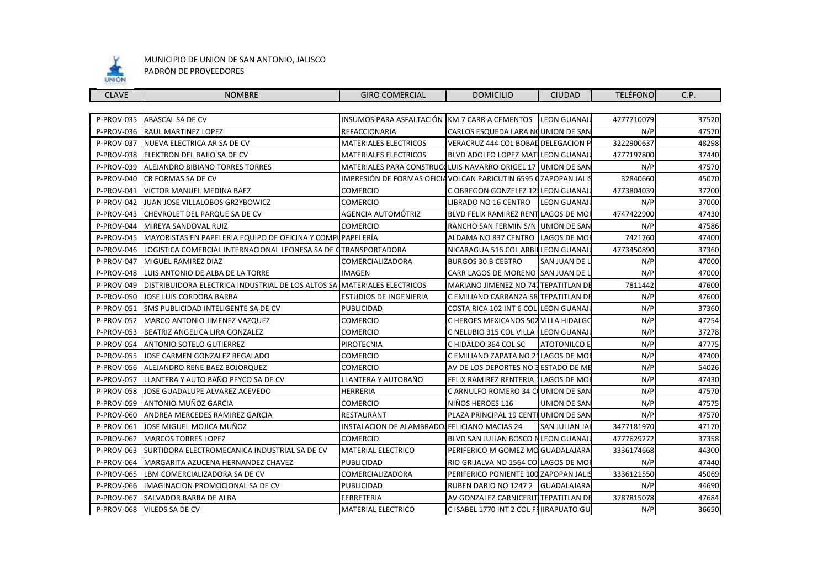

| <b>CLAVE</b>      | <b>NOMBRE</b>                                                   | <b>GIRO COMERCIAL</b>                                          | <b>DOMICILIO</b>                        | <b>CIUDAD</b>       | <b>TELÉFONO</b> | C.P.  |
|-------------------|-----------------------------------------------------------------|----------------------------------------------------------------|-----------------------------------------|---------------------|-----------------|-------|
|                   |                                                                 |                                                                |                                         |                     |                 |       |
| P-PROV-035        | ABASCAL SA DE CV                                                | INSUMOS PARA ASFALTACIÓN KM 7 CARR A CEMENTOS                  |                                         | <b>LEON GUANAJI</b> | 4777710079      | 37520 |
| P-PROV-036        | <b>RAUL MARTINEZ LOPEZ</b>                                      | <b>REFACCIONARIA</b>                                           | CARLOS ESQUEDA LARA NOUNION DE SAN      |                     | N/P             | 47570 |
| P-PROV-037        | NUEVA ELECTRICA AR SA DE CV                                     | <b>MATERIALES ELECTRICOS</b>                                   | VERACRUZ 444 COL BOBAL DELEGACION P     |                     | 3222900637      | 48298 |
| P-PROV-038        | ELEKTRON DEL BAJIO SA DE CV                                     | <b>MATERIALES ELECTRICOS</b>                                   | BLVD ADOLFO LOPEZ MATILEON GUANAJ       |                     | 4777197800      | 37440 |
| P-PROV-039        | <b>ALEJANDRO BIBIANO TORRES TORRES</b>                          | MATERIALES PARA CONSTRUCCLUIS NAVARRO ORIGEL 17                |                                         | <b>UNION DE SAN</b> | N/P             | 47570 |
| P-PROV-040        | CR FORMAS SA DE CV                                              | IMPRESIÓN DE FORMAS OFICIA VOLCAN PARICUTIN 6595 CZAPOPAN JALI |                                         |                     | 32840660        | 45070 |
| P-PROV-041        | VICTOR MANUEL MEDINA BAEZ                                       | <b>COMERCIO</b>                                                | C OBREGON GONZELEZ 12, LEON GUANAJ      |                     | 4773804039      | 37200 |
| P-PROV-042        | JUAN JOSE VILLALOBOS GRZYBOWICZ                                 | <b>COMERCIO</b>                                                | LIBRADO NO 16 CENTRO                    | <b>LEON GUANAJ</b>  | N/P             | 37000 |
| P-PROV-043        | CHEVROLET DEL PARQUE SA DE CV                                   | AGENCIA AUTOMÓTRIZ                                             | BLVD FELIX RAMIREZ RENT LAGOS DE MO     |                     | 4747422900      | 47430 |
| P-PROV-044        | MIREYA SANDOVAL RUIZ                                            | <b>COMERCIO</b>                                                | RANCHO SAN FERMIN S/N UNION DE SAN      |                     | N/P             | 47586 |
| P-PROV-045        | MAYORISTAS EN PAPELERIA EQUIPO DE OFICINA Y COMPUPAPELERÍA      |                                                                | ALDAMA NO 837 CENTRO                    | LAGOS DE MO         | 7421760         | 47400 |
| P-PROV-046        | LOGISTICA COMERCIAL INTERNACIONAL LEONESA SA DE CTRANSPORTADORA |                                                                | NICARAGUA 516 COL ARBILLEON GUANAJ      |                     | 4773450890      | 37360 |
| P-PROV-047        | MIGUEL RAMIREZ DIAZ                                             | COMERCIALIZADORA                                               | <b>BURGOS 30 B CEBTRO</b>               | SAN JUAN DE I       | N/P             | 47000 |
| P-PROV-048        | LUIS ANTONIO DE ALBA DE LA TORRE                                | <b>IMAGEN</b>                                                  | CARR LAGOS DE MORENO ISAN JUAN DE L     |                     | N/P             | 47000 |
| P-PROV-049        | DISTRIBUIDORA ELECTRICA INDUSTRIAL DE LOS ALTOS SA              | <b>MATERIALES ELECTRICOS</b>                                   | MARIANO JIMENEZ NO 747 TEPATITLAN D     |                     | 7811442         | 47600 |
| P-PROV-050        | JOSE LUIS CORDOBA BARBA                                         | ESTUDIOS DE INGENIERIA                                         | C EMILIANO CARRANZA 58 TEPATITLAN D     |                     | N/P             | 47600 |
| P-PROV-051        | <b>SMS PUBLICIDAD INTELIGENTE SA DE CV</b>                      | <b>PUBLICIDAD</b>                                              | COSTA RICA 102 INT 6 COLLLEON GUANAJ    |                     | N/P             | 37360 |
| <b>P-PROV-052</b> | MARCO ANTONIO JIMENEZ VAZQUEZ                                   | <b>COMERCIO</b>                                                | C HEROES MEXICANOS 502 VILLA HIDALGO    |                     | N/P             | 47254 |
| P-PROV-053        | BEATRIZ ANGELICA LIRA GONZALEZ                                  | <b>COMERCIO</b>                                                | C NELUBIO 315 COL VILLA LEON GUANAJ     |                     | N/P             | 37278 |
| P-PROV-054        | <b>ANTONIO SOTELO GUTIERREZ</b>                                 | PIROTECNIA                                                     | C HIDALDO 364 COL SC                    | <b>ATOTONILCO E</b> | N/P             | 47775 |
| <b>P-PROV-055</b> | JOSE CARMEN GONZALEZ REGALADO                                   | <b>COMERCIO</b>                                                | C EMILIANO ZAPATA NO 21 LAGOS DE MO     |                     | N/P             | 47400 |
| <b>P-PROV-056</b> | ALEJANDRO RENE BAEZ BOJORQUEZ                                   | <b>COMERCIO</b>                                                | AV DE LOS DEPORTES NO 3 ESTADO DE ME    |                     | N/P             | 54026 |
| <b>P-PROV-057</b> | LLANTERA Y AUTO BAÑO PEYCO SA DE CV                             | LLANTERA Y AUTOBAÑO                                            | FELIX RAMIREZ RENTERIA 1LAGOS DE MO     |                     | N/P             | 47430 |
| <b>P-PROV-058</b> | JOSE GUADALUPE ALVAREZ ACEVEDO                                  | <b>HERRERIA</b>                                                | C ARNULFO ROMERO 34 CO                  | UNION DE SAN        | N/P             | 47570 |
| P-PROV-059        | ANTONIO MUÑOZ GARCIA                                            | <b>COMERCIO</b>                                                | NIÑOS HEROES 116                        | UNION DE SAN        | N/P             | 47575 |
| <b>P-PROV-060</b> | ANDREA MERCEDES RAMIREZ GARCIA                                  | <b>RESTAURANT</b>                                              | PLAZA PRINCIPAL 19 CENTI UNION DE SAN   |                     | N/P             | 47570 |
| <b>P-PROV-061</b> | JOSE MIGUEL MOJICA MUÑOZ                                        | INSTALACION DE ALAMBRADOS FELICIANO MACIAS 24                  |                                         | SAN JULIAN JA       | 3477181970      | 47170 |
| P-PROV-062        | <b>MARCOS TORRES LOPEZ</b>                                      | <b>COMERCIO</b>                                                | BLVD SAN JULIAN BOSCO N LEON GUANAJ     |                     | 4777629272      | 37358 |
| P-PROV-063        | SURTIDORA ELECTROMECANICA INDUSTRIAL SA DE CV                   | <b>MATERIAL ELECTRICO</b>                                      | PERIFERICO M GOMEZ MO GUADALAJARA       |                     | 3336174668      | 44300 |
| <b>P-PROV-064</b> | MARGARITA AZUCENA HERNANDEZ CHAVEZ                              | <b>PUBLICIDAD</b>                                              | RIO GRIJALVA NO 1564 COLLAGOS DE MO     |                     | N/P             | 47440 |
| <b>P-PROV-065</b> | LBM COMERCIALIZADORA SA DE CV                                   | COMERCIALIZADORA                                               | PERIFERICO PONIENTE 100 ZAPOPAN JALI:   |                     | 3336121550      | 45069 |
| <b>P-PROV-066</b> | <b>IMAGINACION PROMOCIONAL SA DE CV</b>                         | PUBLICIDAD                                                     | RUBEN DARIO NO 1247 2 GUADALAJARA       |                     | N/P             | 44690 |
| P-PROV-067        | SALVADOR BARBA DE ALBA                                          | FERRETERIA                                                     | AV GONZALEZ CARNICERIT TEPATITLAN DI    |                     | 3787815078      | 47684 |
|                   | P-PROV-068 VILEDS SA DE CV                                      | <b>MATERIAL ELECTRICO</b>                                      | C ISABEL 1770 INT 2 COL FI IIRAPUATO GU |                     | N/P             | 36650 |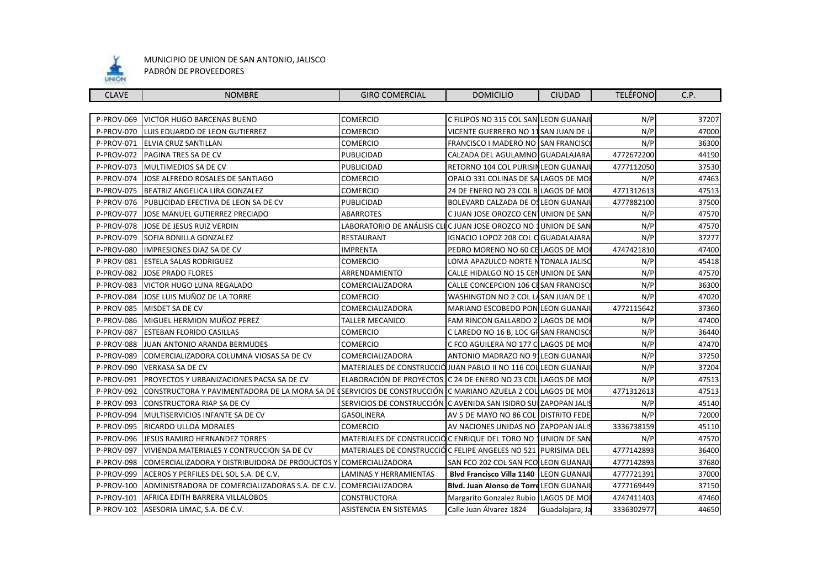

| <b>CLAVE</b>      | <b>NOMBRE</b>                                                                                               | <b>GIRO COMERCIAL</b>                                             | <b>DOMICILIO</b>                         | <b>CIUDAD</b>   | <b>TELÉFONO</b> | C.P.  |
|-------------------|-------------------------------------------------------------------------------------------------------------|-------------------------------------------------------------------|------------------------------------------|-----------------|-----------------|-------|
|                   |                                                                                                             |                                                                   |                                          |                 |                 |       |
| P-PROV-069        | VICTOR HUGO BARCENAS BUENO                                                                                  | <b>COMERCIO</b>                                                   | C FILIPOS NO 315 COL SAN LEON GUANAJI    |                 | N/P             | 37207 |
| P-PROV-070        | LUIS EDUARDO DE LEON GUTIERREZ                                                                              | COMERCIO                                                          | VICENTE GUERRERO NO 11 SAN JUAN DE L     |                 | N/P             | 47000 |
| P-PROV-071        | ELVIA CRUZ SANTILLAN                                                                                        | <b>COMERCIO</b>                                                   | FRANCISCO I MADERO NO SAN FRANCISCO      |                 | N/P             | 36300 |
| P-PROV-072        | PAGINA TRES SA DE CV                                                                                        | PUBLICIDAD                                                        | CALZADA DEL AGULAMNO GUADALAJARA         |                 | 4772672200      | 44190 |
| P-PROV-073        | MULTIMEDIOS SA DE CV                                                                                        | PUBLICIDAD                                                        | RETORNO 104 COL PURISIN LEON GUANAJ      |                 | 4777112050      | 37530 |
| <b>P-PROV-074</b> | JOSE ALFREDO ROSALES DE SANTIAGO                                                                            | <b>COMERCIO</b>                                                   | OPALO 331 COLINAS DE SA LAGOS DE MO      |                 | N/P             | 47463 |
| P-PROV-075        | BEATRIZ ANGELICA LIRA GONZALEZ                                                                              | <b>COMERCIO</b>                                                   | 24 DE ENERO NO 23 COL B LAGOS DE MO      |                 | 4771312613      | 47513 |
| <b>P-PROV-076</b> | PUBLICIDAD EFECTIVA DE LEON SA DE CV                                                                        | PUBLICIDAD                                                        | BOLEVARD CALZADA DE OS LEON GUANAJ       |                 | 4777882100      | 37500 |
| P-PROV-077        | JOSE MANUEL GUTIERREZ PRECIADO                                                                              | <b>ABARROTES</b>                                                  | C JUAN JOSE OROZCO CENTUNION DE SAN      |                 | N/P             | 47570 |
| P-PROV-078        | JOSE DE JESUS RUIZ VERDIN                                                                                   | LABORATORIO DE ANÁLISIS CLIC JUAN JOSE OROZCO NO 1 UNION DE SAN   |                                          |                 | N/P             | 47570 |
| P-PROV-079        | SOFIA BONILLA GONZALEZ                                                                                      | RESTAURANT                                                        | IGNACIO LOPOZ 208 COL C GUADALAJARA      |                 | N/P             | 37277 |
| <b>P-PROV-080</b> | IMPRESIONES DIAZ SA DE CV                                                                                   | <b>IMPRENTA</b>                                                   | PEDRO MORENO NO 60 CELAGOS DE MO         |                 | 4747421810      | 47400 |
| P-PROV-081        | ESTELA SALAS RODRIGUEZ                                                                                      | COMERCIO                                                          | LOMA APAZULCO NORTE NTONALA JALISO       |                 | N/P             | 45418 |
| P-PROV-082        | <b>JOSE PRADO FLORES</b>                                                                                    | ARRENDAMIENTO                                                     | CALLE HIDALGO NO 15 CEN UNION DE SAN     |                 | N/P             | 47570 |
| P-PROV-083        | <b>VICTOR HUGO LUNA REGALADO</b>                                                                            | COMERCIALIZADORA                                                  | CALLE CONCEPCION 106 CL SAN FRANCISC     |                 | N/P             | 36300 |
| P-PROV-084        | JOSE LUIS MUÑOZ DE LA TORRE                                                                                 | <b>COMERCIO</b>                                                   | WASHINGTON NO 2 COL LASAN JUAN DE L      |                 | N/P             | 47020 |
| <b>P-PROV-085</b> | MISDET SA DE CV                                                                                             | <b>COMERCIALIZADORA</b>                                           | MARIANO ESCOBEDO PON LEON GUANAJ         |                 | 4772115642      | 37360 |
| P-PROV-086        | MIGUEL HERMION MUÑOZ PEREZ                                                                                  | <b>TALLER MECANICO</b>                                            | FAM RINCON GALLARDO 2 LAGOS DE MO        |                 | N/P             | 47400 |
| <b>P-PROV-087</b> | <b>ESTEBAN FLORIDO CASILLAS</b>                                                                             | <b>COMERCIO</b>                                                   | C LAREDO NO 16 B, LOC GH SAN FRANCISC    |                 | N/P             | 36440 |
|                   | P-PROV-088 JUAN ANTONIO ARANDA BERMUDES                                                                     | <b>COMERCIO</b>                                                   | C FCO AGUILERA NO 177 CLAGOS DE MO       |                 | N/P             | 47470 |
| P-PROV-089        | COMERCIALIZADORA COLUMNA VIOSAS SA DE CV                                                                    | COMERCIALIZADORA                                                  | ANTONIO MADRAZO NO 91LEON GUANAJI        |                 | N/P             | 37250 |
| P-PROV-090        | VERKASA SA DE CV                                                                                            | MATERIALES DE CONSTRUCCIÓJUAN PABLO II NO 116 COLLEON GUANAJI     |                                          |                 | N/P             | 37204 |
| P-PROV-091        | PROYECTOS Y URBANIZACIONES PACSA SA DE CV                                                                   | ELABORACIÓN DE PROYECTOS C 24 DE ENERO NO 23 COL LAGOS DE MO      |                                          |                 | N/P             | 47513 |
| P-PROV-092        | CONSTRUCTORA Y PAVIMENTADORA DE LA MORA SA DE (SERVICIOS DE CONSTRUCCIÓN C MARIANO AZUELA 2 COL LAGOS DE MO |                                                                   |                                          |                 | 4771312613      | 47513 |
| P-PROV-093        | CONSTRUCTORA RIAP SA DE CV                                                                                  | SERVICIOS DE CONSTRUCCIÓN   C AVENIDA SAN ISIDRO SULZAPOPAN JALIS |                                          |                 | N/P             | 45140 |
| P-PROV-094        | MULTISERVICIOS INFANTE SA DE CV                                                                             | <b>GASOLINERA</b>                                                 | AV 5 DE MAYO NO 86 COL DISTRITO FEDE     |                 | N/P             | 72000 |
| P-PROV-095        | RICARDO ULLOA MORALES                                                                                       | <b>COMERCIO</b>                                                   | AV NACIONES UNIDAS NO ZAPOPAN JALIS      |                 | 3336738159      | 45110 |
| <b>P-PROV-096</b> | <b>JESUS RAMIRO HERNANDEZ TORRES</b>                                                                        | MATERIALES DE CONSTRUCCIÓC ENRIQUE DEL TORO NO 1 UNION DE SAN     |                                          |                 | N/P             | 47570 |
| P-PROV-097        | VIVIENDA MATERIALES Y CONTRUCCION SA DE CV                                                                  | MATERIALES DE CONSTRUCCIÓ C FELIPE ANGELES NO 521   PURISIMA DEI  |                                          |                 | 4777142893      | 36400 |
| <b>P-PROV-098</b> | COMERCIALIZADORA Y DISTRIBUIDORA DE PRODUCTOS Y                                                             | <b>COMERCIALIZADORA</b>                                           | SAN FCO 202 COL SAN FCO LEON GUANAJ      |                 | 4777142893      | 37680 |
| P-PROV-099        | ACEROS Y PERFILES DEL SOL S.A. DE C.V.                                                                      | LAMINAS Y HERRAMIENTAS                                            | Blvd Francisco Villa 1140   LEON GUANAJI |                 | 4777721391      | 37000 |
| P-PROV-100        | ADMINISTRADORA DE COMERCIALIZADORAS S.A. DE C.V.                                                            | <b>COMERCIALIZADORA</b>                                           | Blvd. Juan Alonso de Torre LEON GUANAJ   |                 | 4777169449      | 37150 |
|                   | P-PROV-101 AFRICA EDITH BARRERA VILLALOBOS                                                                  | CONSTRUCTORA                                                      | Margarito Gonzalez Rubio LAGOS DE MO     |                 | 4747411403      | 47460 |
|                   | P-PROV-102 ASESORIA LIMAC, S.A. DE C.V.                                                                     | <b>ASISTENCIA EN SISTEMAS</b>                                     | Calle Juan Álvarez 1824                  | Guadalajara, Ja | 3336302977      | 44650 |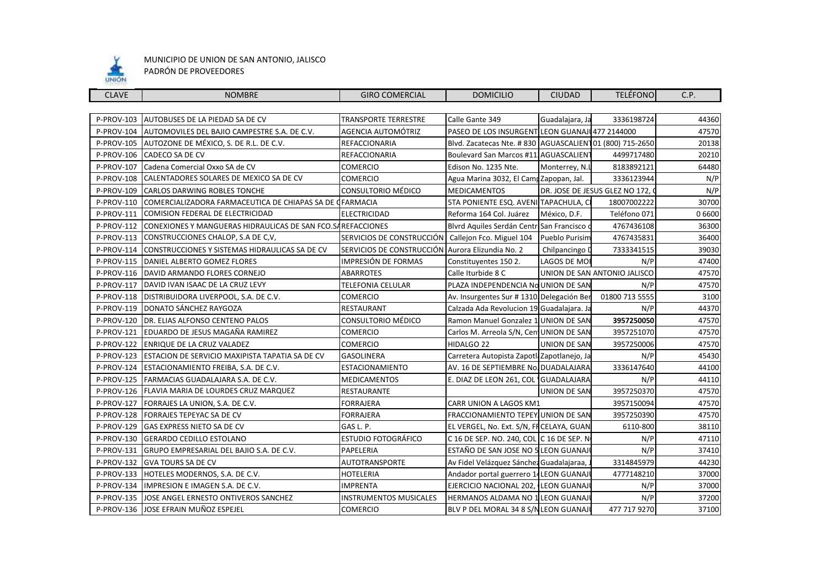

| <b>CLAVE</b>      | <b>NOMBRE</b>                                                           | <b>GIRO COMERCIAL</b>         | <b>DOMICILIO</b>                                        | <b>CIUDAD</b>       | <b>TELÉFONO</b>                | C.P.      |
|-------------------|-------------------------------------------------------------------------|-------------------------------|---------------------------------------------------------|---------------------|--------------------------------|-----------|
|                   |                                                                         |                               |                                                         |                     |                                |           |
| P-PROV-103        | AUTOBUSES DE LA PIEDAD SA DE CV                                         | <b>TRANSPORTE TERRESTRE</b>   | Calle Gante 349                                         | Guadalajara, Ja     | 3336198724                     | 44360     |
| P-PROV-104        | AUTOMOVILES DEL BAJIO CAMPESTRE S.A. DE C.V.                            | AGENCIA AUTOMÓTRIZ            | PASEO DE LOS INSURGENT LEON GUANAJU477 2144000          |                     |                                | 47570     |
| P-PROV-105        | AUTOZONE DE MÉXICO, S. DE R.L. DE C.V.                                  | REFACCIONARIA                 | Blvd. Zacatecas Nte. #830 AGUASCALIEN 01 (800) 715-2650 |                     |                                | 20138     |
| P-PROV-106        | CADECO SA DE CV                                                         | REFACCIONARIA                 | Boulevard San Marcos #111AGUASCALIENT                   |                     | 4499717480                     | 20210     |
| P-PROV-107        | Cadena Comercial Oxxo SA de CV                                          | <b>COMERCIO</b>               | Edison No. 1235 Nte.                                    | Monterrey, N.I      | 8183892121                     | 64480     |
| P-PROV-108        | CALENTADORES SOLARES DE MEXICO SA DE CV                                 | <b>COMERCIO</b>               | Agua Marina 3032, El Camp Zapopan, Jal.                 |                     | 3336123944                     | N/P       |
| <b>P-PROV-109</b> | CARLOS DARWING ROBLES TONCHE                                            | CONSULTORIO MÉDICO            | <b>MEDICAMENTOS</b>                                     |                     | DR. JOSE DE JESUS GLEZ NO 172, | N/P       |
| P-PROV-110        | COMERCIALIZADORA FARMACEUTICA DE CHIAPAS SA DE CFARMACIA                |                               | 5TA PONIENTE ESQ. AVENI TAPACHULA, CI                   |                     | 18007002222                    | 30700     |
|                   | P-PROV-111 COMISION FEDERAL DE ELECTRICIDAD                             | ELECTRICIDAD                  | Reforma 164 Col. Juárez                                 | México, D.F.        | Teléfono 071                   | 0 6 6 0 0 |
|                   | P-PROV-112 CONEXIONES Y MANGUERAS HIDRAULICAS DE SAN FCO. SAREFACCIONES |                               | Blvrd Aquiles Serdán Centr San Francisco                |                     | 4767436108                     | 36300     |
|                   | P-PROV-113 CONSTRUCCIONES CHALOP, S.A DE C,V,                           | SERVICIOS DE CONSTRUCCIÓN     | Callejon Fco. Miguel 104                                | Pueblo Purisim      | 4767435831                     | 36400     |
| P-PROV-114        | CONSTRUCCIONES Y SISTEMAS HIDRAULICAS SA DE CV                          | SERVICIOS DE CONSTRUCCIÓN     | Aurora Elizundia No. 2                                  | Chilpancingo D      | 7333341515                     | 39030     |
| P-PROV-115        | DANIEL ALBERTO GOMEZ FLORES                                             | IMPRESIÓN DE FORMAS           | Constituyentes 150 2.                                   | LAGOS DE MOI        | N/P                            | 47400     |
|                   | P-PROV-116   DAVID ARMANDO FLORES CORNEJO                               | <b>ABARROTES</b>              | Calle Iturbide 8 C                                      |                     | UNION DE SAN ANTONIO JALISCO   | 47570     |
| P-PROV-117        | DAVID IVAN ISAAC DE LA CRUZ LEVY                                        | <b>TELEFONIA CELULAR</b>      | PLAZA INDEPENDENCIA No UNION DE SAN                     |                     | N/P                            | 47570     |
| P-PROV-118        | DISTRIBUIDORA LIVERPOOL, S.A. DE C.V.                                   | <b>COMERCIO</b>               | Av. Insurgentes Sur # 1310 Delegación Ber               |                     | 01800 713 5555                 | 3100      |
| P-PROV-119        | DONATO SÁNCHEZ RAYGOZA                                                  | <b>RESTAURANT</b>             | Calzada Ada Revolucion 19 Guadalajara. Ja               |                     | N/P                            | 44370     |
| P-PROV-120        | DR. ELIAS ALFONSO CENTENO PALOS                                         | CONSULTORIO MÉDICO            | Ramon Manuel Gonzalez 1 UNION DE SAN                    |                     | 3957250050                     | 47570     |
| P-PROV-121        | EDUARDO DE JESUS MAGAÑA RAMIREZ                                         | <b>COMERCIO</b>               | Carlos M. Arreola S/N, Cent UNION DE SAN                |                     | 3957251070                     | 47570     |
|                   | P-PROV-122 ENRIQUE DE LA CRUZ VALADEZ                                   | <b>COMERCIO</b>               | HIDALGO 22                                              | <b>UNION DE SAN</b> | 3957250006                     | 47570     |
|                   | P-PROV-123 ESTACION DE SERVICIO MAXIPISTA TAPATIA SA DE CV              | <b>GASOLINERA</b>             | Carretera Autopista Zapotli Zapotlanejo, Ja             |                     | N/P                            | 45430     |
|                   | P-PROV-124 ESTACIONAMIENTO FREIBA, S.A. DE C.V.                         | <b>ESTACIONAMIENTO</b>        | AV. 16 DE SEPTIEMBRE No. DUADALAJARA                    |                     | 3336147640                     | 44100     |
| P-PROV-125        | FARMACIAS GUADALAJARA S.A. DE C.V.                                      | <b>MEDICAMENTOS</b>           | E. DIAZ DE LEON 261, COL GUADALAJARA                    |                     | N/P                            | 44110     |
| P-PROV-126        | FLAVIA MARIA DE LOURDES CRUZ MARQUEZ                                    | RESTAURANTE                   |                                                         | UNION DE SAN        | 3957250370                     | 47570     |
| P-PROV-127        | FORRAJES LA UNION, S.A. DE C.V.                                         | FORRAJERA                     | <b>CARR UNION A LAGOS KM1</b>                           |                     | 3957150094                     | 47570     |
| P-PROV-128        | FORRAJES TEPEYAC SA DE CV                                               | FORRAJERA                     | FRACCIONAMIENTO TEPEY UNION DE SAN                      |                     | 3957250390                     | 47570     |
| P-PROV-129        | GAS EXPRESS NIETO SA DE CV                                              | GAS L. P.                     | EL VERGEL, No. Ext. S/N, FF CELAYA, GUAN                |                     | 6110-800                       | 38110     |
| P-PROV-130        | <b>GERARDO CEDILLO ESTOLANO</b>                                         | <b>ESTUDIO FOTOGRÁFICO</b>    | C 16 DE SEP. NO. 240, COL C 16 DE SEP. N                |                     | N/P                            | 47110     |
| P-PROV-131        | GRUPO EMPRESARIAL DEL BAJIO S.A. DE C.V.                                | PAPELERIA                     | ESTAÑO DE SAN JOSE NO 5 LEON GUANAJ                     |                     | N/P                            | 37410     |
| <b>P-PROV-132</b> | <b>GVA TOURS SA DE CV</b>                                               | <b>AUTOTRANSPORTE</b>         | Av Fidel Velázquez Sánchez Guadalajaraa,                |                     | 3314845979                     | 44230     |
|                   | P-PROV-133 HOTELES MODERNOS, S.A. DE C.V.                               | <b>HOTELERIA</b>              | Andador portal guerrero 14 LEON GUANAJ                  |                     | 4777148210                     | 37000     |
|                   | P-PROV-134 IMPRESION E IMAGEN S.A. DE C.V.                              | <b>IMPRENTA</b>               | EJERCICIO NACIONAL 202, LEON GUANAJ                     |                     | N/P                            | 37000     |
|                   | P-PROV-135 JOSE ANGEL ERNESTO ONTIVEROS SANCHEZ                         | <b>INSTRUMENTOS MUSICALES</b> | HERMANOS ALDAMA NO 1 LEON GUANAJI                       |                     | N/P                            | 37200     |
|                   | P-PROV-136 JOSE EFRAIN MUÑOZ ESPEJEL                                    | <b>COMERCIO</b>               | BLV P DEL MORAL 34 8 S/N LEON GUANAJI                   |                     | 477 717 9270                   | 37100     |